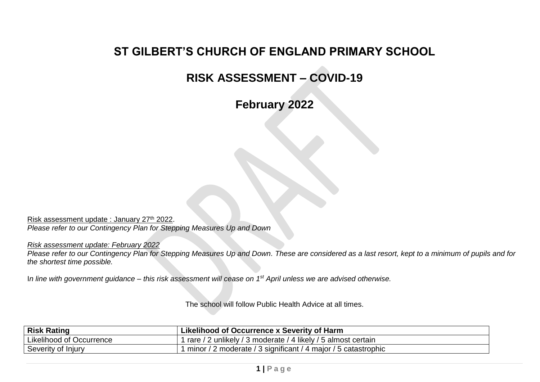## **ST GILBERT'S CHURCH OF ENGLAND PRIMARY SCHOOL**

## **RISK ASSESSMENT – COVID-19**

**February 2022**

Risk assessment update : January 27<sup>th</sup> 2022. *Please refer to our Contingency Plan for Stepping Measures Up and Down*

*Risk assessment update: February 2022*

*Please refer to our Contingency Plan for Stepping Measures Up and Down. These are considered as a last resort, kept to a minimum of pupils and for the shortest time possible.* 

I*n line with government guidance – this risk assessment will cease on 1st April unless we are advised otherwise.*

The school will follow Public Health Advice at all times.

| <b>Risk Rating</b>              | Likelihood of Occurrence x Severity of Harm                     |
|---------------------------------|-----------------------------------------------------------------|
| <b>Likelihood of Occurrence</b> | rare / 2 unlikely / 3 moderate / 4 likely / 5 almost certain    |
| Severity of Injury              | ' minor / 2 moderate / 3 significant / 4 major / 5 catastrophic |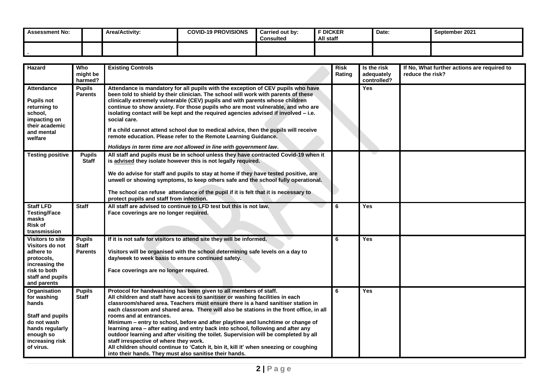| <b>Assessment No:</b> | <b>Area/Activity:</b> | <b>COVID-19 PROVISIONS</b> | Carried out by:<br><b>Consulted</b> | F DICKER<br>All staff | Date: | September 2021 |
|-----------------------|-----------------------|----------------------------|-------------------------------------|-----------------------|-------|----------------|
|                       |                       |                            |                                     |                       |       |                |

| Hazard                                                                                                                                  | Who<br>might be<br>harmed?                      | <b>Existing Controls</b>                                                                                                                                                                                                                                                                                                                                                                                                                                                                                                                                                                                                                                                                                                                                                                                                | <b>Risk</b><br>Rating | Is the risk<br>adequately<br>controlled? | If No, What further actions are required to<br>reduce the risk? |
|-----------------------------------------------------------------------------------------------------------------------------------------|-------------------------------------------------|-------------------------------------------------------------------------------------------------------------------------------------------------------------------------------------------------------------------------------------------------------------------------------------------------------------------------------------------------------------------------------------------------------------------------------------------------------------------------------------------------------------------------------------------------------------------------------------------------------------------------------------------------------------------------------------------------------------------------------------------------------------------------------------------------------------------------|-----------------------|------------------------------------------|-----------------------------------------------------------------|
| <b>Attendance</b><br><b>Pupils not</b><br>returning to<br>school,<br>impacting on<br>their academic<br>and mental<br>welfare            | <b>Pupils</b><br><b>Parents</b>                 | Attendance is mandatory for all pupils with the exception of CEV pupils who have<br>been told to shield by their clinician. The school will work with parents of these<br>clinically extremely vulnerable (CEV) pupils and with parents whose children<br>continue to show anxiety. For those pupils who are most vulnerable, and who are<br>isolating contact will be kept and the required agencies advised if involved - i.e.<br>social care.<br>If a child cannot attend school due to medical advice, then the pupils will receive<br>remote education. Please refer to the Remote Learning Guidance.<br>Holidays in term time are not allowed in line with government law.                                                                                                                                        |                       | <b>Yes</b>                               |                                                                 |
| <b>Testing positive</b>                                                                                                                 | <b>Pupils</b><br><b>Staff</b>                   | All staff and pupils must be in school unless they have contracted Covid-19 when it<br>is advised they isolate however this is not legally required.<br>We do advise for staff and pupils to stay at home if they have tested positive, are<br>unwell or showing symptoms, to keep others safe and the school fully operational.<br>The school can refuse attendance of the pupil if it is felt that it is necessary to<br>protect pupils and staff from infection.                                                                                                                                                                                                                                                                                                                                                     |                       |                                          |                                                                 |
| <b>Staff LFD</b><br><b>Testing/Face</b><br>masks<br><b>Risk of</b><br>transmission                                                      | <b>Staff</b>                                    | All staff are advised to continue to LFD test but this is not law.<br>Face coverings are no longer required.                                                                                                                                                                                                                                                                                                                                                                                                                                                                                                                                                                                                                                                                                                            | 6                     | <b>Yes</b>                               |                                                                 |
| Visitors to site<br>Visitors do not<br>adhere to<br>protocols,<br>increasing the<br>risk to both<br>staff and pupils<br>and parents     | <b>Pupils</b><br><b>Staff</b><br><b>Parents</b> | If it is not safe for visitors to attend site they will be informed.<br>Visitors will be organised with the school determining safe levels on a day to<br>day/week to week basis to ensure continued safety.<br>Face coverings are no longer required.                                                                                                                                                                                                                                                                                                                                                                                                                                                                                                                                                                  | 6                     | <b>Yes</b>                               |                                                                 |
| Organisation<br>for washing<br>hands<br>Staff and pupils<br>do not wash<br>hands regularly<br>enough so<br>increasing risk<br>of virus. | <b>Pupils</b><br><b>Staff</b>                   | Protocol for handwashing has been given to all members of staff.<br>All children and staff have access to sanitiser or washing facilities in each<br>classroom/shared area. Teachers must ensure there is a hand sanitiser station in<br>each classroom and shared area. There will also be stations in the front office, in all<br>rooms and at entrances.<br>Minimum - entry to school, before and after playtime and lunchtime or change of<br>learning area - after eating and entry back into school, following and after any<br>outdoor learning and after visiting the toilet. Supervision will be completed by all<br>staff irrespective of where they work.<br>All children should continue to 'Catch it, bin it, kill it' when sneezing or coughing<br>into their hands. They must also sanitise their hands. | 6                     | <b>Yes</b>                               |                                                                 |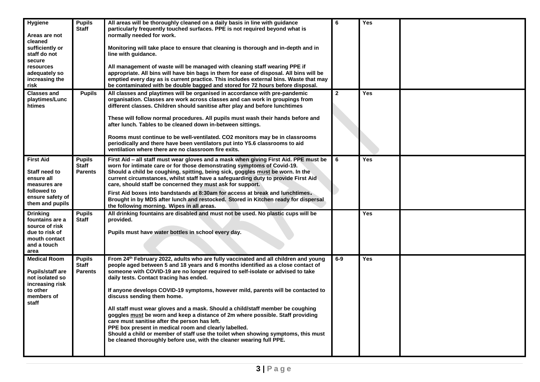| <b>Hygiene</b><br>Areas are not<br>cleaned<br>sufficiently or<br>staff do not<br>secure<br>resources<br>adequately so<br>increasing the<br>risk | <b>Pupils</b><br><b>Staff</b>                   | All areas will be thoroughly cleaned on a daily basis in line with guidance<br>particularly frequently touched surfaces. PPE is not required beyond what is<br>normally needed for work.<br>Monitoring will take place to ensure that cleaning is thorough and in-depth and in<br>line with guidance.<br>All management of waste will be managed with cleaning staff wearing PPE if<br>appropriate. All bins will have bin bags in them for ease of disposal. All bins will be<br>emptied every day as is current practice. This includes external bins. Waste that may<br>be contaminated with be double bagged and stored for 72 hours before disposal.                                                                                                                                                                                                          | 6            | Yes |  |
|-------------------------------------------------------------------------------------------------------------------------------------------------|-------------------------------------------------|--------------------------------------------------------------------------------------------------------------------------------------------------------------------------------------------------------------------------------------------------------------------------------------------------------------------------------------------------------------------------------------------------------------------------------------------------------------------------------------------------------------------------------------------------------------------------------------------------------------------------------------------------------------------------------------------------------------------------------------------------------------------------------------------------------------------------------------------------------------------|--------------|-----|--|
| <b>Classes and</b><br>playtimes/Lunc<br>htimes                                                                                                  | <b>Pupils</b>                                   | All classes and playtimes will be organised in accordance with pre-pandemic<br>organisation. Classes are work across classes and can work in groupings from<br>different classes. Children should sanitise after play and before lunchtimes<br>These will follow normal procedures. All pupils must wash their hands before and<br>after lunch. Tables to be cleaned down in-between sittings.<br>Rooms must continue to be well-ventilated. CO2 monitors may be in classrooms<br>periodically and there have been ventilators put into Y5.6 classrooms to aid<br>ventilation where there are no classroom fire exits.                                                                                                                                                                                                                                             | $\mathbf{2}$ | Yes |  |
| <b>First Aid</b><br>Staff need to<br>ensure all<br>measures are<br>followed to<br>ensure safety of<br>them and pupils                           | <b>Pupils</b><br><b>Staff</b><br><b>Parents</b> | First Aid - all staff must wear gloves and a mask when giving First Aid. PPE must be<br>worn for intimate care or for those demonstrating symptoms of Covid-19.<br>Should a child be coughing, spitting, being sick, goggles must be worn. In the<br>current circumstances, whilst staff have a safeguarding duty to provide First Aid<br>care, should staff be concerned they must ask for support.<br>First Aid boxes into bandstands at 8:30am for access at break and lunchtimes.<br>Brought in by MDS after lunch and restocked. Stored in Kitchen ready for dispersal<br>the following morning. Wipes in all areas.                                                                                                                                                                                                                                          | I 6          | Yes |  |
| <b>Drinking</b><br>fountains are a<br>source of risk<br>due to risk of<br>mouth contact<br>and a touch<br>area                                  | <b>Pupils</b><br><b>Staff</b>                   | All drinking fountains are disabled and must not be used. No plastic cups will be<br>provided.<br>Pupils must have water bottles in school every day.                                                                                                                                                                                                                                                                                                                                                                                                                                                                                                                                                                                                                                                                                                              |              | Yes |  |
| <b>Medical Room</b><br><b>Pupils/staff are</b><br>not isolated so<br>increasing risk<br>to other<br>members of<br>staff                         | <b>Pupils</b><br><b>Staff</b><br><b>Parents</b> | From 24th February 2022, adults who are fully vaccinated and all children and young<br>people aged between 5 and 18 years and 6 months identified as a close contact of<br>someone with COVID-19 are no longer required to self-isolate or advised to take<br>daily tests. Contact tracing has ended.<br>If anyone develops COVID-19 symptoms, however mild, parents will be contacted to<br>discuss sending them home.<br>All staff must wear gloves and a mask. Should a child/staff member be coughing<br>goggles must be worn and keep a distance of 2m where possible. Staff providing<br>care must sanitise after the person has left.<br>PPE box present in medical room and clearly labelled.<br>Should a child or member of staff use the toilet when showing symptoms, this must<br>be cleaned thoroughly before use, with the cleaner wearing full PPE. | $6-9$        | Yes |  |